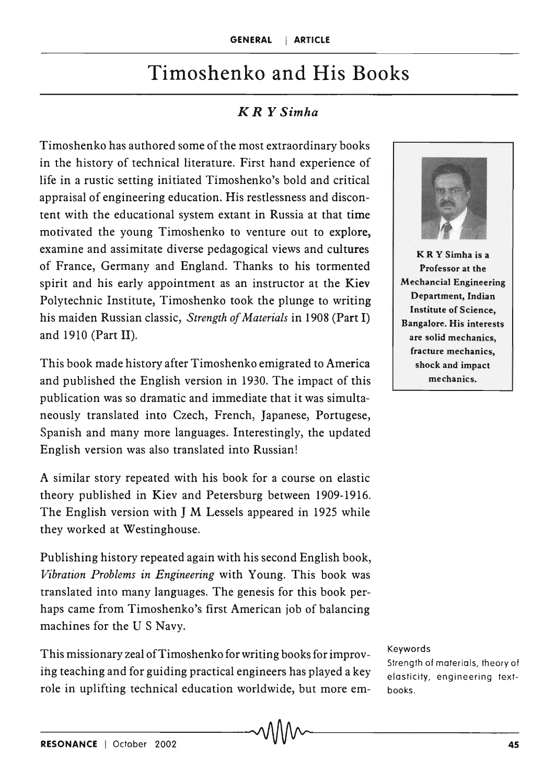# **Timoshenko and His Books**

# *KR Y Simha*

Timoshenko has authored some of the most extraordinary books in the history of technical literature. First hand experience of life in a rustic setting initiated Timoshenko's bold and critical appraisal of engineering education. His restlessness and discontent with the educational system extant in Russia at that time motivated the young Timoshenko to venture out to explore, examine and assimitate diverse pedagogical views and cultures of France, Germany and England. Thanks to his tormented spirit and his early appointment as an instructor at the Kiev Polytechnic Institute, Timoshenko took the plunge to writing his maiden Russian classic, *Strength of Materials* in 1908 (Part I) and 1910 (Part II).

This book made history after Timoshenko emigrated to America and published the English version in 1930. The impact of this publication was so dramatic and immediate that it was simultaneously translated into Czech, French, Japanese, Portugese, Spanish and many more languages. Interestingly, the updated English version was also translated into Russian!

A similar story repeated with his book for a course on elastic theory published in Kiev and Petersburg between 1909-1916. The English version with J M Lessels appeared in 1925 while they worked at Westinghouse.

Publishing history repeated again with his second English book, *Vibration Problems in Engineering* with Young. This book was translated into many languages. The genesis for this book perhaps came from Timoshenko's first American job of balancing machines for the U S Navy.

This missionary zeal ofTimoshenko for writing books for improving teaching and for guiding practical engineers has played a key role in uplifting technical education worldwide, but more em-



K R Y Simha is a Professor at the Mechancial Engineering Department, Indian Institute of Science, Bangalore. His interests are solid mechanics, fracture mechanics, shock and impact mechanics.

### Keywords

Strength of materials, theory of elasticity, engineering textbooks.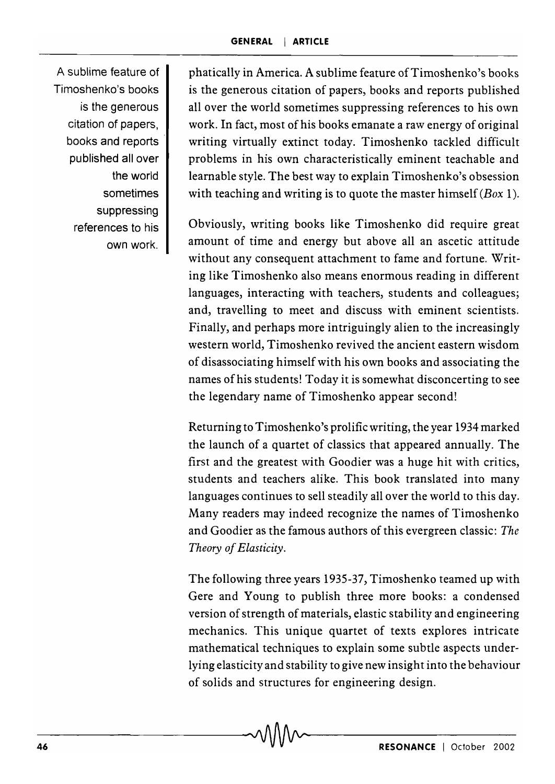A sublime feature of Timoshenko's books is the generous citation of papers, books and reports published all over the world sometimes suppressing references to his own work.

phatically in America. A sublime feature of Timoshenko's books is the generous citation of papers, books and reports published all over the world sometimes suppressing references to his own work. **In** fact, most of his books emanate a raw energy of original writing virtually extinct today. Timoshenko tackled difficult problems in his own characteristically eminent teachable and learnable style. The best way to explain Timoshenko's obsession with teaching and writing is to quote the master himself *(Box* 1).

Obviously, writing books like Timoshenko did require great amount of time and energy but above all an ascetic attitude without any consequent attachment to fame and fortune. Writing like Timoshenko also means enormous reading in different languages, interacting with teachers, students and colleagues; and, travelling to meet and discuss with eminent scientists. Finally, and perhaps more intriguingly alien to the increasingly western world, Timoshenko revived the ancient eastern wisdom of disassociating himself with his own books and associating the names of his students! Today it is somewhat disconcerting to see the legendary name of Timoshenko appear second!

Returning to Timoshenko's prolific writing, the year 1934 marked the launch of a quartet of classics that appeared annually. The first and the greatest with Goodier was a huge hit with critics, students and teachers alike. This book translated into many languages continues to sell steadily all over the world to this day. Many readers may indeed recognize the names of Timoshenko and Goodier as the famous authors of this evergreen classic: *The Theory of Elasticity.* 

The following three years 1935~37, Timoshenko teamed up with Gere and Young to publish three more books: a condensed version of strength of materials, elastic stability and engineering mechanics. This unique quartet of texts explores intricate mathematical techniques to explain some subtle aspects underlying elasticity and stability to give new insight into the behaviour of solids and structures for engineering design.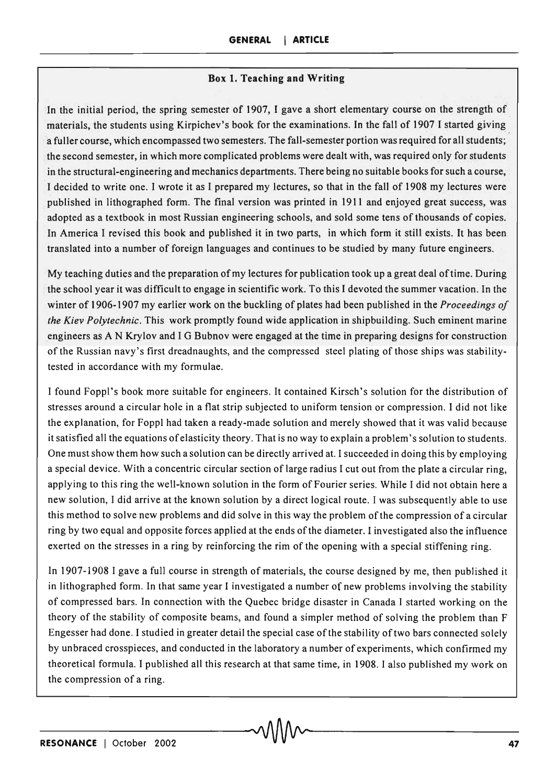# Box 1. Teaching and Writing

In the initial period, the spring semester of 1907, I gave a short elementary course on the strength of materials, the students using Kirpichev's book for the examinations. In the fall of 19071 started giving a fuller course, which encompassed two semesters. The fall-semester portion was required forall students; the second semester, in which more complicated problems were dealt with, was required only for students in the structural-engineering and mechanics departments. There being no suitable books for such a course, I decided to write one. I wrote it as I prepared my lectures, so that in the fall of 1908 my lectures were published in lithographed form. The final version was printed in 1911 and enjoyed great success, was adopted as a textbook in most Russian engineering schools, and sold some tens of thousands of copies. In America I revised this book and published it in two parts, in which form it still exists. It has been translated into a number of foreign languages and continues to be studied by many future engineers.

My teaching duties and the preparation of my lectures for publication took up a great deal oftime. During the school year it was difficult to engage in scientific work. To this I devoted the summer vacation. In the winter of 1906-1907 my earlier work on the buckling of plates had been published in the *Proceedings of the Kiev Polytechnic.* This work promptly found wide application in shipbuilding. Such eminent marine engineers as A N Krylov and I G Bubnov were engaged atthe time in preparing designs for construction of the Russian navy's first dreadnaughts, and the compressed steel plating of those ships was stabilitytested in accordance with my formulae.

I found Foppl's book more suitable for engineers. It contained Kirsch's solution for the distribution of stresses around a circular hole in a flat strip subjected to uniform tension or compression. I did not like the explanation, for Foppl had taken a ready-made solution and merely showed that it was valid because it satisfied all the equations of elasticity theory. That is no way to explain a problem's solution to students. One must show them how such a solution can be directly arrived at. I succeeded in doing this by employing a special device. With a concentric circular section of large radius I cut out from the plate a circular ring, applying to this ring the well-known solution in the form of Fourier series. While I did not obtain here a new solution, I did arrive at the known solution by a direct logical route. I was subsequently able to use this method to solve new problems and did solve in this way the problem of the compression of a circular ring by two equal and opposite forces applied at the ends of the diameter. I investigated also the influence exerted on the stresses in a ring by reinforcing the rim of the opening with a special stiffening ring.

In 1907-1908 I gave a full course in strength of materials, the course designed by me, then published it in lithographed form. In that same year I investigated a number of new problems involving the stability of compressed bars. In connection with the Quebec bridge disaster in Canada I started working on the theory of the stability of composite beams, and found a simpler method of solving the problem than F Engesser had done. I studied in greater detail the special case of the stability of two bars connected solely by unbraced crosspieces, and conducted in the laboratory a number of experiments, which confirmed my theoretical formula. I published all this research at that same time, in 1908. I also published my work on the compression of a ring.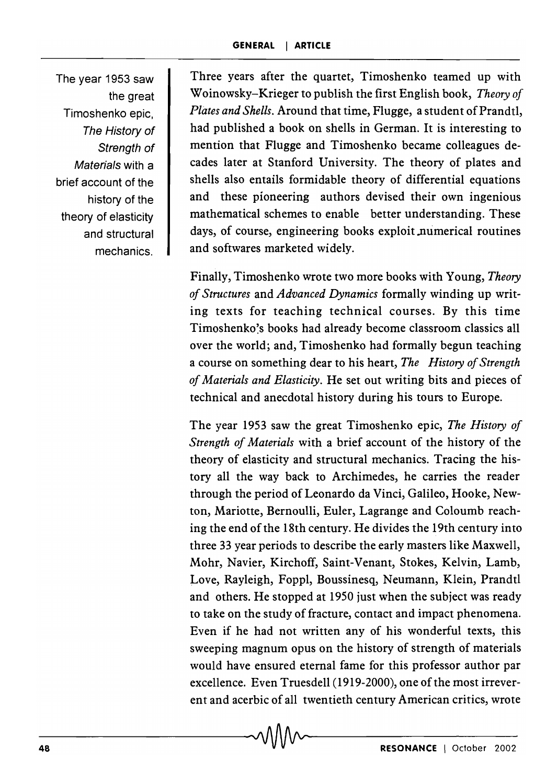The year 1953 saw the great Timoshenko epic, The History of Strength of Materials with a brief account of the history of the theory of elasticity and structural mechanics.

Three years after the quartet, Timoshenko teamed up with W oinowsky-Krieger to publish the first English book, *Theory of Plates and Shells.* Around that time, Flugge, a student of Prandtl, had published a book on shells in German. It is interesting to mention that Flugge and Timoshenko became colleagues decades later at Stanford University. The theory of plates and shells also entails formidable theory of differential equations and these pioneering authors devised their own ingenious mathematical schemes to enable better understanding. These days, of course, engineering books exploit numerical routines and softwares marketed widely.

Finally, Timoshenko wrote two more books with Young, *Theory of Structures* and *Advanced Dynamics* formally winding up writing texts for teaching technical courses. By this time Timoshenko's books had already become classroom classics all over the world; and, Timoshenko had formally begun teaching a course on something dear to his heart, *The History of Strength of Materials and Elasticity.* He set out writing bits and pieces of technical and anecdotal history during his tours to Europe.

The year 1953 saw the great Timoshenko epic, *The History of Strength of Materials* with a brief account of the history of the theory of elasticity and structural mechanics. Tracing the history all the way back to Archimedes, he carries the reader through the period of Leonardo da Vinci, Galileo, Hooke, Newton, Mariotte, Bernoulli, Euler, Lagrange and Coloumb reaching the end of the 18th century. He divides the 19th century into three 33 year periods to describe the early masters like Maxwell, Mohr, Navier, Kirchoff, Saint-Venant, Stokes, Kelvin, Lamb, Love, Rayleigh, Foppl, Boussinesq, Neumann, Klein, Prandtl and others. He stopped at 1950 just when the subject was ready to take on the study of fracture, contact and impact phenomena. Even if he had not written any of his wonderful texts, this sweeping magnum opus on the history of strength of materials would have ensured eternal fame for this professor author par excellence. Even Truesdell (1919-2000), one of the most irreverent and acerbic of all twentieth century American critics, wrote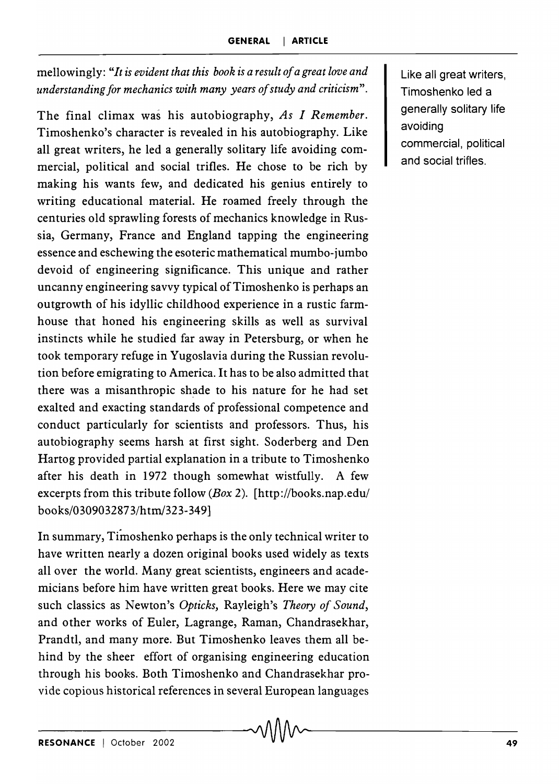mellowingly: *"It* is *evident that this book* is *a result of a great love and understanding for mechanics with many years of study and criticism".* 

The final climax was his autobiography, *As I Remember.*  Timoshenko's character is revealed in his autobiography. Like all great writers, he led a generally solitary life avoiding commercial, political and social trifles. He chose to be rich by making his wants few, and dedicated his genius entirely to writing educational material. He roamed freely through the centuries old sprawling forests of mechanics knowledge in Russia, Germany, France and England tapping the engineering essence and eschewing the esoteric mathematical mumbo-jumbo devoid of engineering significance. This unique and rather uncanny engineering savvy typical of Timoshenko is perhaps an outgrowth of his idyllic childhood experience in a rustic farmhouse that honed his engineering skills as well as survival instincts while he studied far away in Petersburg, or when he took temporary refuge in Yugoslavia during the Russian revolution before emigrating to America. It has to be also admitted that there was a misanthropic shade to his nature for he had set exalted and exacting standards of professional competence and conduct particularly for scientists and professors. Thus, his autobiography seems harsh at first sight. Soderberg and Den Hartog provided partial explanation in a tribute to Timoshenko after his death in 1972 though somewhat wistfully. A few excerpts from this tribute follow *(Box* 2). [http://books.nap.edu/ books/0309032873/htm/323-349]

In summary, Timoshenko perhaps is the only technical writer to have written nearly a dozen original books used widely as texts all over the world. Many great scientists, engineers and academicians before him have written great books. Here we may cite such classics as Newton's *Opticks,* Rayleigh's *Theory of Sound,*  and other works of Euler, Lagrange, Raman, Chandrasekhar, Prandtl, and many more. But Timoshenko leaves them all behind by the sheer effort of organising engineering education through his books. Both Timoshenko and Chandrasekhar provide copious historical references in several European languages

Like all great writers, Timoshenko led a generally solitary life avoiding commercial, political and social trifles.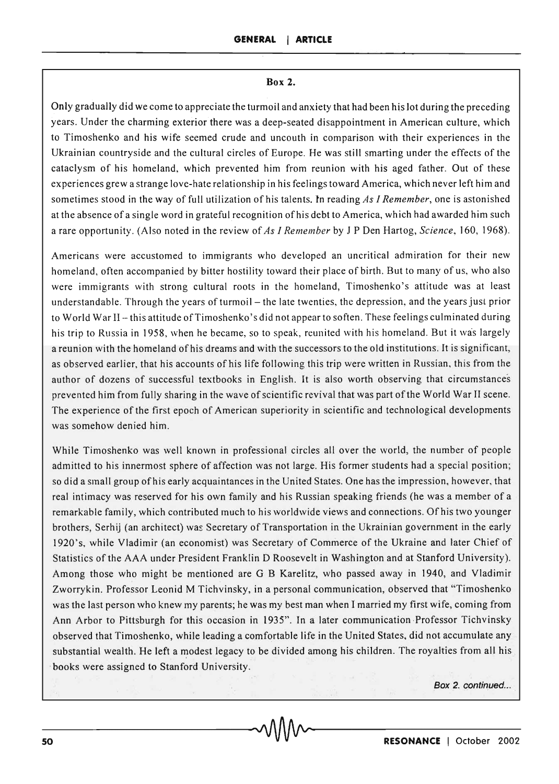#### **Box 2.**

Only gradually did we cometo appreciate the turmoil and anxiety that had been his lot during the preceding years. Under the charming exterior there was a deep-seated disappointmentin American culture, which to Timoshenko and his wife seemed crude and uncouth in comparison with their experiences in the Ukrainian countryside and the cultural circles of Europe. He was still smarting under the effects of the cataclysm of his homeland, which prevented him from reunion with his aged father. Out of these experiences grew a strange love-hate relationship in his feelings toward America, which never left him and sometimes stood in the way of full utilization of his talents. In reading *As* J *Remember,* one is astonished at the absence ofa single word in grateful recognition of his debt to America, which had awarded him such a rare opportunity. (Also noted in the review of *As! Remember* by J P Den Hartog, *Science,* 160, 1968).

Americans were accustomed to immigrants who developed an uncritical admiration for their new homeland, often accompanied by bitter hostility toward their place of birth. But to many of us, who also were immigrants with strong cultural roots in the homeland, Timoshenko's attitude was at least understandable. Through the years of turmoil- the late twenties, the depression, and the years just prior to World War II - this attitude of Timoshenko's did not appear to soften. These feelings culminated during his trip to Russia in 1958, when he became, so to speak, reunited with his homeland. But it was largely a reunion with the homeland of his dreams and with the successors to the old institutions. It is significant, as observed earlier, that his accounts of his life following this trip were written in Russian, this from the author of dozens of successful textbooks in English. It is also worth observing that circumstances prevented him from fully sharing in the wave of scientific revival that was part of the World War II scene. The experience of the first epoch of American superiority in scientific and technological developments was somehow denied him.

While Timoshenko was well known in professional circles all over the world, the number of people admitted to his innermost sphere of affection was not large. His former students had a special position; so did a small group of his early acquaintances in the United States. One has the impression, however, that real intimacy was reserved for his own family and his Russian speaking friends (he was a member of a remarkable family, which contributed much to his worldwide views and connections. Of his two younger brothers, Serhij (an architect) was Secretary of Transportation in the Ukrainian government in the early 1920's, while Vladimir (an economist) was Secretary of Commerce of the Ukraine and later Chief of Statistics of the AAA under President Franklin D Roosevelt in Washington and at Stanford University). Among those who might be mentioned are G B Karelitz, who passed away in 1940, and Vladimir Zworrykin. Professor Leonid M Tichvinsky, in a personal communication, observed that "Timoshenko was the last person who knew my parents; he was my best man when I married my first wife, coming from Ann Arbor to Pittsburgh for this occasion in 1935". In a later communication Professor Tichvinsky observed that Timoshenko, while leading a comfortable life in the United States, did not accumulate any substantial wealth. He left a modest legacy to be divided among his children. The royalties from all his books were assigned to Stanford University.

Box 2. continued...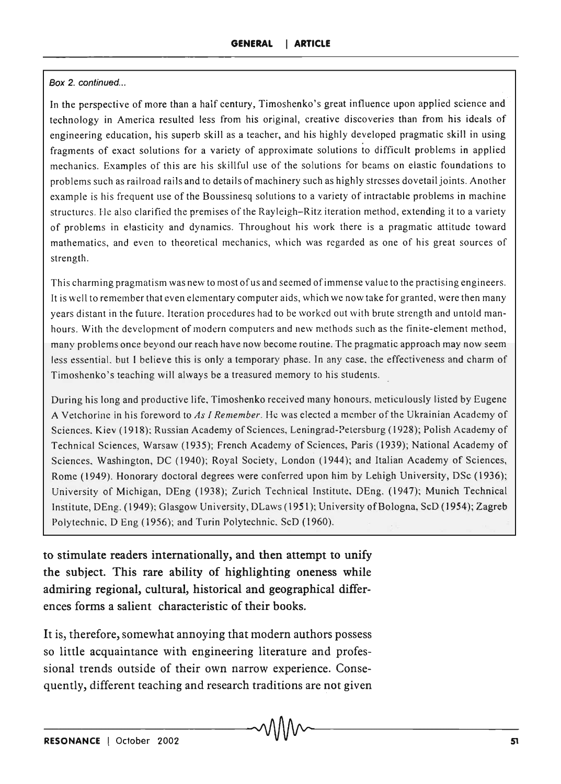## Box 2. continued...

In the perspective of more than a half century, Timoshenko's great influence upon applied science and technology in America resulted less from his original, creative discoveries than from his ideals of engineering education, his superb skill as a teacher, and his highly developed pragmatic skill in using fragments of exact solutions for a variety of approximate solutions to difficult problems in applied mechanics. Examples of this are his skillful use of the solutions for beams on elastic foundations to problems such as railroad rails and to details of machinery such as highly stresses dovetail joints. Another example is his frequent use of the Boussinesq solutions to a variety of intractable problems in machine structures. He also clarified the premises of the Rayleigh-Ritz iteration method, extending it to a variety of problems in elasticity and dynamics. Throughout his work there is a pragmatic attitude toward mathematics, and even to theoretical mechanics, which was regarded as one of his great sources of strength.

This charming pragmatism was new to most of us and seemed of immense value to the practising engineers. It is well to remember that even elementary computer aids, which we now take for granted, were then many years distant in the future. Iteration procedures had to be worked out with brute strength and untold manhours. With the development of modern computers and new methods such as the finite-element method, many problems once beyond our reach have now become routine. The pragmatic approach may now seem less essential, but I believe this is only a temporary phase. In any case, the effectiveness and charm of Timoshenko's teaching will always be a treasured memory to his students.

During his long and productive life. Timoshenko received many honours, meticulously listed by Eugene A Vetchorine in his foreword to *As I Remember.* He was elected a member of the Ukrainian Academy of Sciences. Kiev (1918): Russian Academy of Sciences, Leningrad-Petersburg (1928); Polish Academy of Technical Sciences, Warsaw (1935); French Academy of Sciences, Paris (1939); National Academy of Sciences. Washington, DC (1940); Royal Society, London (1944); and Italian Academy of Sciences, Rome (1949). Honorary doctoral degrees were conferred upon him by Lehigh University, DSc (1936); University of Michigan, DEng (1938); Zurich Technical Institute. DEng. (1947); Munich Technical Institute, DEng. (1949); Glasgow University, DLaws (1951); University of Bologna, ScD (1954); Zagreb Polytechnic, D Eng (1956); and Turin Polytechnic. ScD (1960).

to stimulate readers internationally, and then attempt to unify the subject. This rare ability of highlighting oneness while admiring regional, cultural, historical and geographical differences forms a salient characteristic of their books.

It is, therefore, somewhat annoying that modern authors possess so little acquaintance with engineering literature and professional trends outside of their own narrow experience. Consequently, different teaching and research traditions are not given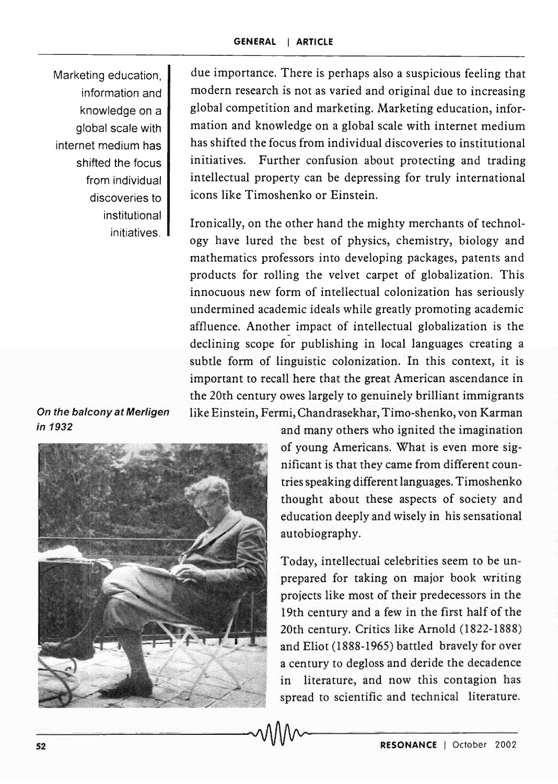Marketing education, information and knowledge on a global scale with internet medium has shifted the focus from individual discoveries to institutional initiatives. due importance. There is perhaps also a suspicious feeling that modern research is not as varied and original due to increasing global competition and marketing. Marketing education, information and knowledge on a global scale with internet medium has shifted the focus from individual discoveries to institutional initiatives. Further confusion about protecting and trading intellectual property can be depressing for truly international icons like Timoshenko or Einstein.

Ironically, on the other hand the mighty merchants of technology have lured the best of physics, chemistry, biology and mathematics professors into developing packages, patents and products for rolling the velvet carpet of globalization. This innocuous new form of intellectual colonization has seriously undermined academic ideals while greatly promoting academic affluence. Another impact of intellectual globalization is the declining scope for publishing in local languages creating a subtle form of linguistic colonization. In this context, it is important to recall here that the great American ascendance in the 20th century owes largely to genuinely brilliant immigrants like Einstein, Fermi, Chandrasekhar, Timo-shenko, von Karman

On the balcony at Merligen in 1932



and many others who ignited the imagination of young Americans. What is even more significant is that they came from different countries speaking different languages. Timoshenko thought about these aspects of society and education deeply and wisely in his sensational autobiography.

Today, intellectual celebrities seem to be unprepared for taking on major book writing projects like most of their predecessors in the 19th century and a few in the first half of the 20th century. Critics like Arnold (1822-1888) and Eliot (1888-1965) battled bravely for over a century to degloss and deride the decadence in literature, and now this contagion has spread to scientific and technical literature.